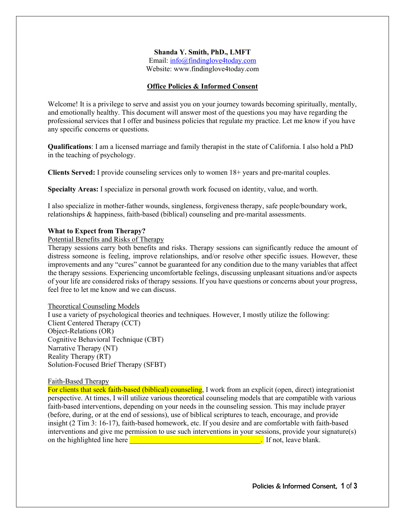# **Shanda Y. Smith, PhD., LMFT** Email: info@findinglove4today.com

Website: www.findinglove4today.com

# **Office Policies & Informed Consent**

Welcome! It is a privilege to serve and assist you on your journey towards becoming spiritually, mentally, and emotionally healthy. This document will answer most of the questions you may have regarding the professional services that I offer and business policies that regulate my practice. Let me know if you have any specific concerns or questions.

**Qualifications**: I am a licensed marriage and family therapist in the state of California. I also hold a PhD in the teaching of psychology.

**Clients Served:** I provide counseling services only to women 18+ years and pre-marital couples.

**Specialty Areas:** I specialize in personal growth work focused on identity, value, and worth.

I also specialize in mother-father wounds, singleness, forgiveness therapy, safe people/boundary work, relationships & happiness, faith-based (biblical) counseling and pre-marital assessments.

## **What to Expect from Therapy?**

Potential Benefits and Risks of Therapy

Therapy sessions carry both benefits and risks. Therapy sessions can significantly reduce the amount of distress someone is feeling, improve relationships, and/or resolve other specific issues. However, these improvements and any "cures" cannot be guaranteed for any condition due to the many variables that affect the therapy sessions. Experiencing uncomfortable feelings, discussing unpleasant situations and/or aspects of your life are considered risks of therapy sessions. If you have questions or concerns about your progress, feel free to let me know and we can discuss.

## Theoretical Counseling Models

I use a variety of psychological theories and techniques. However, I mostly utilize the following: Client Centered Therapy (CCT) Object-Relations (OR) Cognitive Behavioral Technique (CBT) Narrative Therapy (NT) Reality Therapy (RT) Solution-Focused Brief Therapy (SFBT)

## Faith-Based Therapy

For clients that seek faith-based (biblical) counseling, I work from an explicit (open, direct) integrationist perspective. At times, I will utilize various theoretical counseling models that are compatible with various faith-based interventions, depending on your needs in the counseling session. This may include prayer (before, during, or at the end of sessions), use of biblical scriptures to teach, encourage, and provide insight (2 Tim 3: 16-17), faith-based homework, etc. If you desire and are comfortable with faith-based interventions and give me permission to use such interventions in your sessions, provide your signature(s) on the highlighted line here **and the set of the set of the set of the set of the set of the set of the set of the set of the set of the set of the set of the set of the set of the set of the set of the set of the set of t**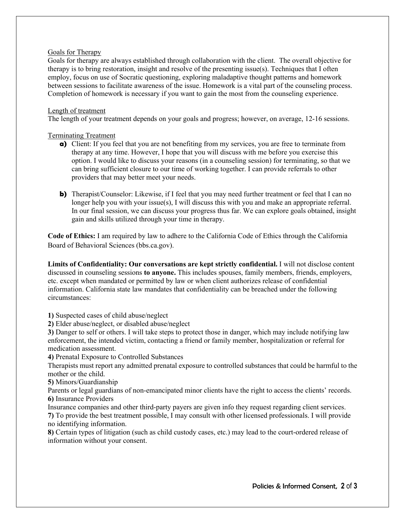## Goals for Therapy

Goals for therapy are always established through collaboration with the client. The overall objective for therapy is to bring restoration, insight and resolve of the presenting issue(s). Techniques that I often employ, focus on use of Socratic questioning, exploring maladaptive thought patterns and homework between sessions to facilitate awareness of the issue. Homework is a vital part of the counseling process. Completion of homework is necessary if you want to gain the most from the counseling experience.

## Length of treatment

The length of your treatment depends on your goals and progress; however, on average, 12-16 sessions.

## Terminating Treatment

- **a)** Client: If you feel that you are not benefiting from my services, you are free to terminate from therapy at any time. However, I hope that you will discuss with me before you exercise this option. I would like to discuss your reasons (in a counseling session) for terminating, so that we can bring sufficient closure to our time of working together. I can provide referrals to other providers that may better meet your needs.
- **b)** Therapist/Counselor: Likewise, if I feel that you may need further treatment or feel that I can no longer help you with your issue(s), I will discuss this with you and make an appropriate referral. In our final session, we can discuss your progress thus far. We can explore goals obtained, insight gain and skills utilized through your time in therapy.

**Code of Ethics:** I am required by law to adhere to the California Code of Ethics through the California Board of Behavioral Sciences (bbs.ca.gov).

**Limits of Confidentiality: Our conversations are kept strictly confidential.** I will not disclose content discussed in counseling sessions **to anyone.** This includes spouses, family members, friends, employers, etc. except when mandated or permitted by law or when client authorizes release of confidential information. California state law mandates that confidentiality can be breached under the following circumstances:

**1)** Suspected cases of child abuse/neglect

**2)** Elder abuse/neglect, or disabled abuse/neglect

**3)** Danger to self or others. I will take steps to protect those in danger, which may include notifying law enforcement, the intended victim, contacting a friend or family member, hospitalization or referral for medication assessment.

**4)** Prenatal Exposure to Controlled Substances

Therapists must report any admitted prenatal exposure to controlled substances that could be harmful to the mother or the child.

**5)** Minors/Guardianship

Parents or legal guardians of non-emancipated minor clients have the right to access the clients' records. **6)** Insurance Providers

Insurance companies and other third-party payers are given info they request regarding client services. **7)** To provide the best treatment possible, I may consult with other licensed professionals. I will provide no identifying information.

**8)** Certain types of litigation (such as child custody cases, etc.) may lead to the court-ordered release of information without your consent.